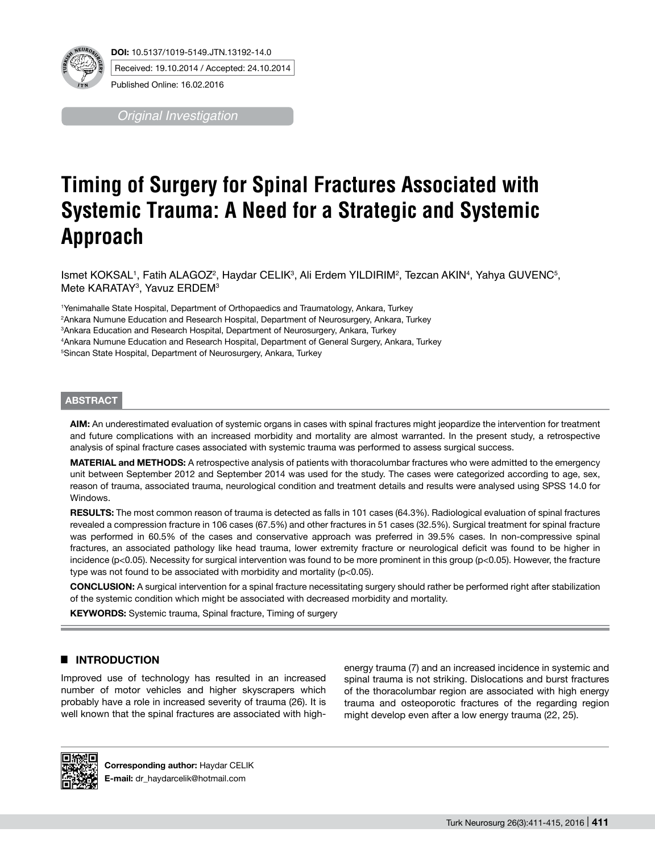

**DOI:** 10.5137/1019-5149.JTN.13192-14.0 Received: 19.10.2014 / Accepted: 24.10.2014

Published Online: 16.02.2016

*Original Investigation*

# **Timing of Surgery for Spinal Fractures Associated with Systemic Trauma: A Need for a Strategic and Systemic Approach**

Ismet KOKSAL1, Fatih ALAGOZ², Haydar CELIK<sup>3</sup>, Ali Erdem YILDIRIM<sup>2</sup>, Tezcan AKIN<sup>4</sup>, Yahya GUVENC<sup>5</sup>, Mete KARATAY3 , Yavuz ERDEM3

 Yenimahalle State Hospital, Department of Orthopaedics and Traumatology, Ankara, Turkey Ankara Numune Education and Research Hospital, Department of Neurosurgery, Ankara, Turkey Ankara Education and Research Hospital, Department of Neurosurgery, Ankara, Turkey Ankara Numune Education and Research Hospital, Department of General Surgery, Ankara, Turkey Sincan State Hospital, Department of Neurosurgery, Ankara, Turkey

#### **ABSTRACT**

**AIm:** An underestimated evaluation of systemic organs in cases with spinal fractures might jeopardize the intervention for treatment and future complications with an increased morbidity and mortality are almost warranted. In the present study, a retrospective analysis of spinal fracture cases associated with systemic trauma was performed to assess surgical success.

**MaterIal and Methods:** A retrospective analysis of patients with thoracolumbar fractures who were admitted to the emergency unit between September 2012 and September 2014 was used for the study. The cases were categorized according to age, sex, reason of trauma, associated trauma, neurological condition and treatment details and results were analysed using SPSS 14.0 for Windows.

RESULTS: The most common reason of trauma is detected as falls in 101 cases (64.3%). Radiological evaluation of spinal fractures revealed a compression fracture in 106 cases (67.5%) and other fractures in 51 cases (32.5%). Surgical treatment for spinal fracture was performed in 60.5% of the cases and conservative approach was preferred in 39.5% cases. In non-compressive spinal fractures, an associated pathology like head trauma, lower extremity fracture or neurological deficit was found to be higher in incidence (p<0.05). Necessity for surgical intervention was found to be more prominent in this group (p<0.05). However, the fracture type was not found to be associated with morbidity and mortality (p<0.05).

**ConclusIon:** A surgical intervention for a spinal fracture necessitating surgery should rather be performed right after stabilization of the systemic condition which might be associated with decreased morbidity and mortality.

**KEYWORDS:** Systemic trauma, Spinal fracture, Timing of surgery

# █ **Introduction**

Improved use of technology has resulted in an increased number of motor vehicles and higher skyscrapers which probably have a role in increased severity of trauma (26). It is well known that the spinal fractures are associated with highenergy trauma (7) and an increased incidence in systemic and spinal trauma is not striking. Dislocations and burst fractures of the thoracolumbar region are associated with high energy trauma and osteoporotic fractures of the regarding region might develop even after a low energy trauma (22, 25).



**Corresponding author:** Haydar CelIk **E-mail:** dr\_haydarcelik@hotmail.com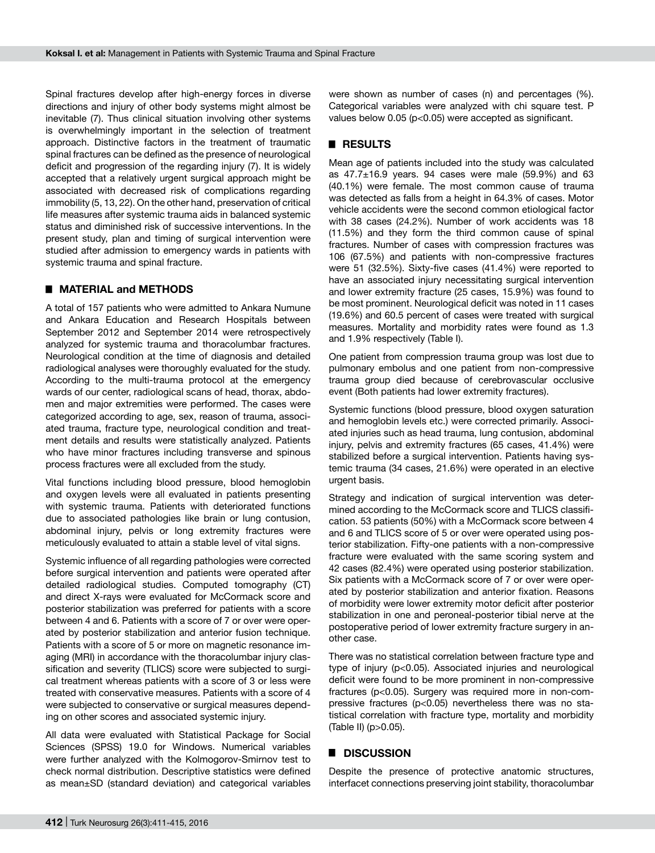Spinal fractures develop after high-energy forces in diverse directions and injury of other body systems might almost be inevitable (7). Thus clinical situation involving other systems is overwhelmingly important in the selection of treatment approach. Distinctive factors in the treatment of traumatic spinal fractures can be defined as the presence of neurological deficit and progression of the regarding injury (7). It is widely accepted that a relatively urgent surgical approach might be associated with decreased risk of complications regarding immobility (5, 13, 22). On the other hand, preservation of critical life measures after systemic trauma aids in balanced systemic status and diminished risk of successive interventions. In the present study, plan and timing of surgical intervention were studied after admission to emergency wards in patients with systemic trauma and spinal fracture.

#### █ **MATERIAL and METHODS**

A total of 157 patients who were admitted to Ankara Numune and Ankara Education and Research Hospitals between September 2012 and September 2014 were retrospectively analyzed for systemic trauma and thoracolumbar fractures. Neurological condition at the time of diagnosis and detailed radiological analyses were thoroughly evaluated for the study. According to the multi-trauma protocol at the emergency wards of our center, radiological scans of head, thorax, abdomen and major extremities were performed. The cases were categorized according to age, sex, reason of trauma, associated trauma, fracture type, neurological condition and treatment details and results were statistically analyzed. Patients who have minor fractures including transverse and spinous process fractures were all excluded from the study.

Vital functions including blood pressure, blood hemoglobin and oxygen levels were all evaluated in patients presenting with systemic trauma. Patients with deteriorated functions due to associated pathologies like brain or lung contusion, abdominal injury, pelvis or long extremity fractures were meticulously evaluated to attain a stable level of vital signs.

Systemic influence of all regarding pathologies were corrected before surgical intervention and patients were operated after detailed radiological studies. Computed tomography (CT) and direct X-rays were evaluated for McCormack score and posterior stabilization was preferred for patients with a score between 4 and 6. Patients with a score of 7 or over were operated by posterior stabilization and anterior fusion technique. Patients with a score of 5 or more on magnetic resonance imaging (MRI) in accordance with the thoracolumbar injury classification and severity (TLICS) score were subjected to surgical treatment whereas patients with a score of 3 or less were treated with conservative measures. Patients with a score of 4 were subjected to conservative or surgical measures depending on other scores and associated systemic injury.

All data were evaluated with Statistical Package for Social Sciences (SPSS) 19.0 for Windows. Numerical variables were further analyzed with the Kolmogorov-Smirnov test to check normal distribution. Descriptive statistics were defined as mean±SD (standard deviation) and categorical variables were shown as number of cases (n) and percentages (%). Categorical variables were analyzed with chi square test. P values below 0.05 (p<0.05) were accepted as significant.

# █ **Results**

Mean age of patients included into the study was calculated as  $47.7 \pm 16.9$  years. 94 cases were male (59.9%) and 63 (40.1%) were female. The most common cause of trauma was detected as falls from a height in 64.3% of cases. Motor vehicle accidents were the second common etiological factor with 38 cases (24.2%). Number of work accidents was 18 (11.5%) and they form the third common cause of spinal fractures. Number of cases with compression fractures was 106 (67.5%) and patients with non-compressive fractures were 51 (32.5%). Sixty-five cases (41.4%) were reported to have an associated injury necessitating surgical intervention and lower extremity fracture (25 cases, 15.9%) was found to be most prominent. Neurological deficit was noted in 11 cases (19.6%) and 60.5 percent of cases were treated with surgical measures. Mortality and morbidity rates were found as 1.3 and 1.9% respectively (Table I).

One patient from compression trauma group was lost due to pulmonary embolus and one patient from non-compressive trauma group died because of cerebrovascular occlusive event (Both patients had lower extremity fractures).

Systemic functions (blood pressure, blood oxygen saturation and hemoglobin levels etc.) were corrected primarily. Associated injuries such as head trauma, lung contusion, abdominal injury, pelvis and extremity fractures (65 cases, 41.4%) were stabilized before a surgical intervention. Patients having systemic trauma (34 cases, 21.6%) were operated in an elective urgent basis.

Strategy and indication of surgical intervention was determined according to the McCormack score and TLICS classification. 53 patients (50%) with a McCormack score between 4 and 6 and TLICS score of 5 or over were operated using posterior stabilization. Fifty-one patients with a non-compressive fracture were evaluated with the same scoring system and 42 cases (82.4%) were operated using posterior stabilization. Six patients with a McCormack score of 7 or over were operated by posterior stabilization and anterior fixation. Reasons of morbidity were lower extremity motor deficit after posterior stabilization in one and peroneal-posterior tibial nerve at the postoperative period of lower extremity fracture surgery in another case.

There was no statistical correlation between fracture type and type of injury (p<0.05). Associated injuries and neurological deficit were found to be more prominent in non-compressive fractures (p<0.05). Surgery was required more in non-compressive fractures (p<0.05) nevertheless there was no statistical correlation with fracture type, mortality and morbidity (Table II) (p>0.05).

## █ **Discussion**

Despite the presence of protective anatomic structures, interfacet connections preserving joint stability, thoracolumbar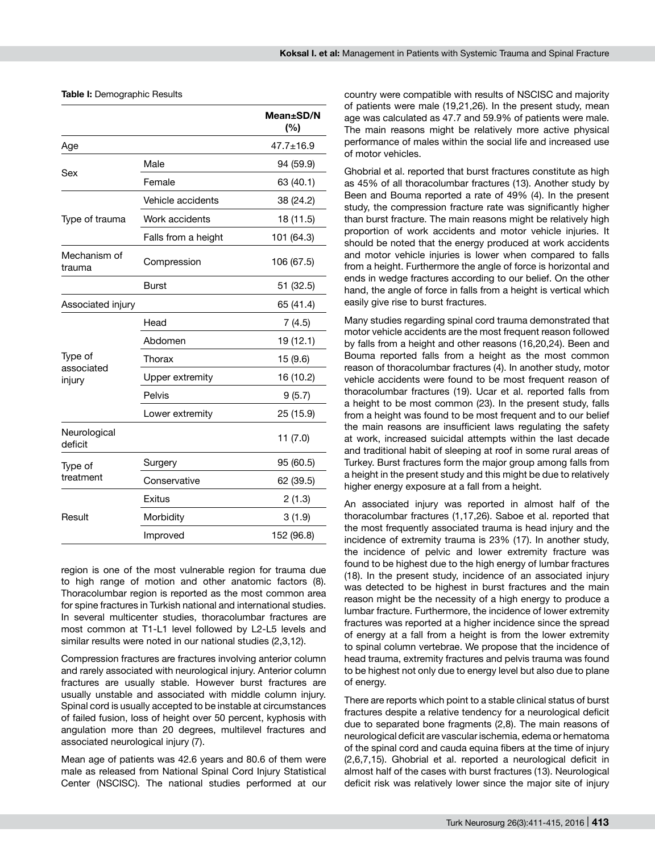**Table I:** Demographic Results

|                                 |                     | $Mean \pm SD/N$<br>(%) |
|---------------------------------|---------------------|------------------------|
| Age                             |                     | $47.7 + 16.9$          |
| Sex                             | Male                | 94 (59.9)              |
|                                 | Female              | 63 (40.1)              |
| Type of trauma                  | Vehicle accidents   | 38 (24.2)              |
|                                 | Work accidents      | 18 (11.5)              |
|                                 | Falls from a height | 101 (64.3)             |
| Mechanism of<br>trauma          | Compression         | 106 (67.5)             |
|                                 | <b>Burst</b>        | 51 (32.5)              |
| Associated injury               |                     | 65 (41.4)              |
| Type of<br>associated<br>injury | Head                | 7(4.5)                 |
|                                 | Abdomen             | 19 (12.1)              |
|                                 | Thorax              | 15 (9.6)               |
|                                 | Upper extremity     | 16 (10.2)              |
|                                 | Pelvis              | 9(5.7)                 |
|                                 | Lower extremity     | 25 (15.9)              |
| Neurological<br>deficit         |                     | 11 (7.0)               |
| Type of<br>treatment            | Surgery             | 95 (60.5)              |
|                                 | Conservative        | 62 (39.5)              |
| Result                          | Exitus              | 2(1.3)                 |
|                                 | Morbidity           | 3(1.9)                 |
|                                 | Improved            | 152 (96.8)             |

region is one of the most vulnerable region for trauma due to high range of motion and other anatomic factors (8). Thoracolumbar region is reported as the most common area for spine fractures in Turkish national and international studies. In several multicenter studies, thoracolumbar fractures are most common at T1-L1 level followed by L2-L5 levels and similar results were noted in our national studies (2,3,12).

Compression fractures are fractures involving anterior column and rarely associated with neurological injury. Anterior column fractures are usually stable. However burst fractures are usually unstable and associated with middle column injury. Spinal cord is usually accepted to be instable at circumstances of failed fusion, loss of height over 50 percent, kyphosis with angulation more than 20 degrees, multilevel fractures and associated neurological injury (7).

Mean age of patients was 42.6 years and 80.6 of them were male as released from National Spinal Cord Injury Statistical Center (NSCISC). The national studies performed at our country were compatible with results of NSCISC and majority of patients were male (19,21,26). In the present study, mean age was calculated as 47.7 and 59.9% of patients were male. The main reasons might be relatively more active physical performance of males within the social life and increased use of motor vehicles.

Ghobrial et al. reported that burst fractures constitute as high as 45% of all thoracolumbar fractures (13). Another study by Been and Bouma reported a rate of 49% (4). In the present study, the compression fracture rate was significantly higher than burst fracture. The main reasons might be relatively high proportion of work accidents and motor vehicle injuries. It should be noted that the energy produced at work accidents and motor vehicle injuries is lower when compared to falls from a height. Furthermore the angle of force is horizontal and ends in wedge fractures according to our belief. On the other hand, the angle of force in falls from a height is vertical which easily give rise to burst fractures.

Many studies regarding spinal cord trauma demonstrated that motor vehicle accidents are the most frequent reason followed by falls from a height and other reasons (16,20,24). Been and Bouma reported falls from a height as the most common reason of thoracolumbar fractures (4). In another study, motor vehicle accidents were found to be most frequent reason of thoracolumbar fractures (19). Ucar et al. reported falls from a height to be most common (23). In the present study, falls from a height was found to be most frequent and to our belief the main reasons are insufficient laws regulating the safety at work, increased suicidal attempts within the last decade and traditional habit of sleeping at roof in some rural areas of Turkey. Burst fractures form the major group among falls from a height in the present study and this might be due to relatively higher energy exposure at a fall from a height.

An associated injury was reported in almost half of the thoracolumbar fractures (1,17,26). Saboe et al. reported that the most frequently associated trauma is head injury and the incidence of extremity trauma is 23% (17). In another study, the incidence of pelvic and lower extremity fracture was found to be highest due to the high energy of lumbar fractures (18). In the present study, incidence of an associated injury was detected to be highest in burst fractures and the main reason might be the necessity of a high energy to produce a lumbar fracture. Furthermore, the incidence of lower extremity fractures was reported at a higher incidence since the spread of energy at a fall from a height is from the lower extremity to spinal column vertebrae. We propose that the incidence of head trauma, extremity fractures and pelvis trauma was found to be highest not only due to energy level but also due to plane of energy.

There are reports which point to a stable clinical status of burst fractures despite a relative tendency for a neurological deficit due to separated bone fragments (2,8). The main reasons of neurological deficit are vascular ischemia, edema or hematoma of the spinal cord and cauda equina fibers at the time of injury (2,6,7,15). Ghobrial et al. reported a neurological deficit in almost half of the cases with burst fractures (13). Neurological deficit risk was relatively lower since the major site of injury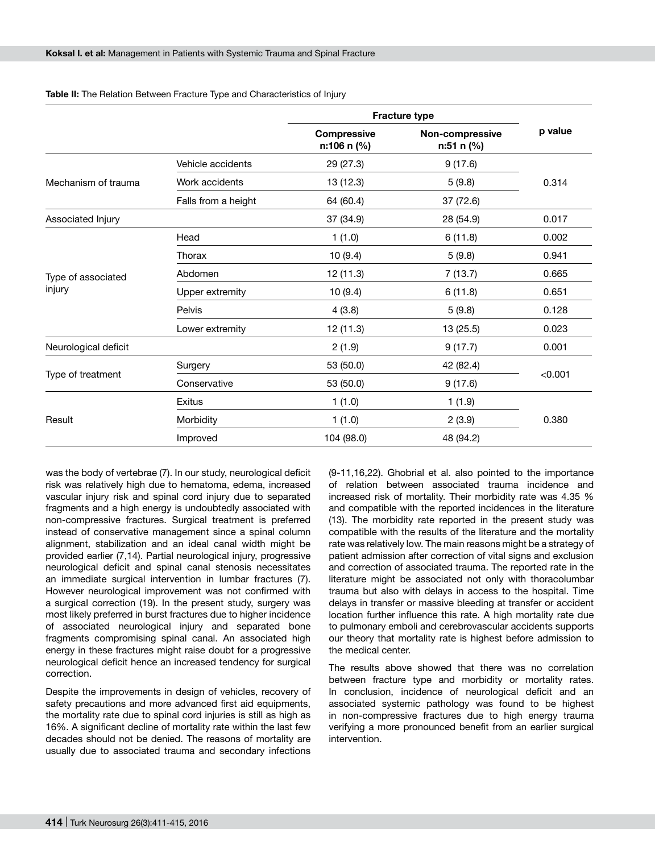|                              |                     | <b>Fracture type</b>              |                               |         |
|------------------------------|---------------------|-----------------------------------|-------------------------------|---------|
|                              |                     | <b>Compressive</b><br>n:106 n (%) | Non-compressive<br>n:51 n (%) | p value |
| Mechanism of trauma          | Vehicle accidents   | 29 (27.3)                         | 9(17.6)                       | 0.314   |
|                              | Work accidents      | 13 (12.3)                         | 5(9.8)                        |         |
|                              | Falls from a height | 64 (60.4)                         | 37 (72.6)                     |         |
| Associated Injury            |                     | 37 (34.9)                         | 28 (54.9)                     | 0.017   |
| Type of associated<br>injury | Head                | 1(1.0)                            | 6(11.8)                       | 0.002   |
|                              | Thorax              | 10(9.4)                           | 5(9.8)                        | 0.941   |
|                              | Abdomen             | 12 (11.3)                         | 7(13.7)                       | 0.665   |
|                              | Upper extremity     | 10(9.4)                           | 6(11.8)                       | 0.651   |
|                              | Pelvis              | 4(3.8)                            | 5(9.8)                        | 0.128   |
|                              | Lower extremity     | 12 (11.3)                         | 13 (25.5)                     | 0.023   |
| Neurological deficit         |                     | 2(1.9)                            | 9(17.7)                       | 0.001   |
| Type of treatment            | Surgery             | 53 (50.0)                         | 42 (82.4)                     | < 0.001 |
|                              | Conservative        | 53 (50.0)                         | 9(17.6)                       |         |
| Result                       | Exitus              | 1(1.0)                            | 1(1.9)                        |         |
|                              | Morbidity           | 1(1.0)                            | 2(3.9)                        | 0.380   |
|                              | Improved            | 104 (98.0)                        | 48 (94.2)                     |         |

**Table II:** The Relation Between Fracture Type and Characteristics of Injury

was the body of vertebrae (7). In our study, neurological deficit risk was relatively high due to hematoma, edema, increased vascular injury risk and spinal cord injury due to separated fragments and a high energy is undoubtedly associated with non-compressive fractures. Surgical treatment is preferred instead of conservative management since a spinal column alignment, stabilization and an ideal canal width might be provided earlier (7,14). Partial neurological injury, progressive neurological deficit and spinal canal stenosis necessitates an immediate surgical intervention in lumbar fractures (7). However neurological improvement was not confirmed with a surgical correction (19). In the present study, surgery was most likely preferred in burst fractures due to higher incidence of associated neurological injury and separated bone fragments compromising spinal canal. An associated high energy in these fractures might raise doubt for a progressive neurological deficit hence an increased tendency for surgical correction.

Despite the improvements in design of vehicles, recovery of safety precautions and more advanced first aid equipments, the mortality rate due to spinal cord injuries is still as high as 16%. A significant decline of mortality rate within the last few decades should not be denied. The reasons of mortality are usually due to associated trauma and secondary infections (9-11,16,22). Ghobrial et al. also pointed to the importance of relation between associated trauma incidence and increased risk of mortality. Their morbidity rate was 4.35 % and compatible with the reported incidences in the literature (13). The morbidity rate reported in the present study was compatible with the results of the literature and the mortality rate was relatively low. The main reasons might be a strategy of patient admission after correction of vital signs and exclusion and correction of associated trauma. The reported rate in the literature might be associated not only with thoracolumbar trauma but also with delays in access to the hospital. Time delays in transfer or massive bleeding at transfer or accident location further influence this rate. A high mortality rate due to pulmonary emboli and cerebrovascular accidents supports our theory that mortality rate is highest before admission to the medical center.

The results above showed that there was no correlation between fracture type and morbidity or mortality rates. In conclusion, incidence of neurological deficit and an associated systemic pathology was found to be highest in non-compressive fractures due to high energy trauma verifying a more pronounced benefit from an earlier surgical intervention.